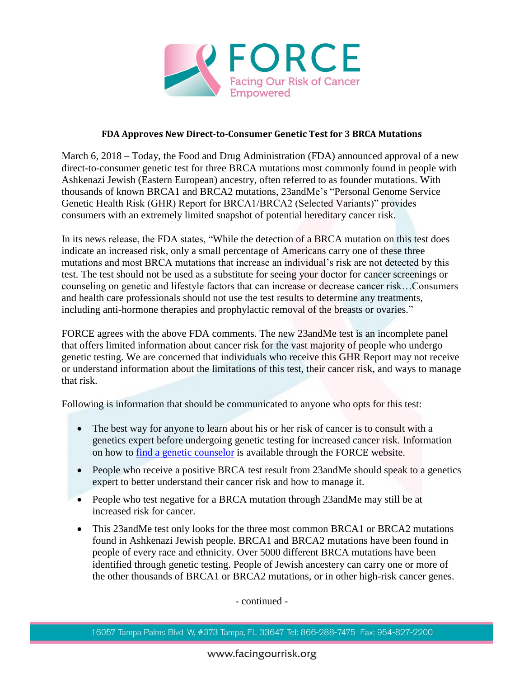

## **FDA Approves New Direct-to-Consumer Genetic Test for 3 BRCA Mutations**

March 6, 2018 – Today, the Food and Drug Administration (FDA) announced approval of a new direct-to-consumer genetic test for three BRCA mutations most commonly found in people with Ashkenazi Jewish (Eastern European) ancestry, often referred to as founder mutations. With thousands of known BRCA1 and BRCA2 mutations, 23andMe's "Personal Genome Service Genetic Health Risk (GHR) Report for BRCA1/BRCA2 (Selected Variants)" provides consumers with an extremely limited snapshot of potential hereditary cancer risk.

In its news release, the FDA states, "While the detection of a BRCA mutation on this test does indicate an increased risk, only a small percentage of Americans carry one of these three mutations and most BRCA mutations that increase an individual's risk are not detected by this test. The test should not be used as a substitute for seeing your doctor for cancer screenings or counseling on genetic and lifestyle factors that can increase or decrease cancer risk…Consumers and health care professionals should not use the test results to determine any treatments, including anti-hormone therapies and prophylactic removal of the breasts or ovaries."

FORCE agrees with the above FDA comments. The new 23andMe test is an incomplete panel that offers limited information about cancer risk for the vast majority of people who undergo genetic testing. We are concerned that individuals who receive this GHR Report may not receive or understand information about the limitations of this test, their cancer risk, and ways to manage that risk.

Following is information that should be communicated to anyone who opts for this test:

- The best way for anyone to learn about his or her risk of cancer is to consult with a genetics expert before undergoing genetic testing for increased cancer risk. Information on how to [find a genetic counselor](http://www.facingourrisk.org/understanding-brca-and-hboc/information/hereditary-cancer/risk/basics/finding-a-genetics-specialist.php#text) is available through the FORCE website.
- People who receive a positive BRCA test result from 23 and Me should speak to a genetics expert to better understand their cancer risk and how to manage it.
- People who test negative for a BRCA mutation through 23andMe may still be at increased risk for cancer.
- This 23andMe test only looks for the three most common BRCA1 or BRCA2 mutations found in Ashkenazi Jewish people. BRCA1 and BRCA2 mutations have been found in people of every race and ethnicity. Over 5000 different BRCA mutations have been identified through genetic testing. People of Jewish ancestery can carry one or more of the other thousands of BRCA1 or BRCA2 mutations, or in other high-risk cancer genes.

- continued -

<sup>16057</sup> Tampa Palms Blvd. W, #373 Tampa, FL 33647 Tel: 866-288-7475 Fax: 954-827-2200